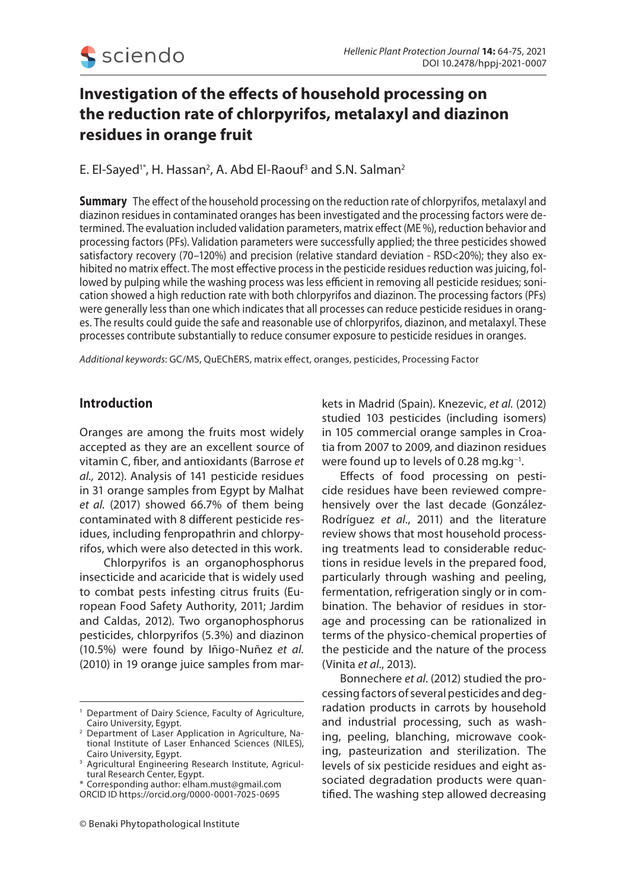

# **Investigation of the effects of household processing on the reduction rate of chlorpyrifos, metalaxyl and diazinon residues in orange fruit**

E. El-Sayed' $^*$ , H. Hassan $^2$ , A. Abd El-Raouf $^3$  and S.N. Salman $^2$ 

**Summary** The effect of the household processing on the reduction rate of chlorpyrifos, metalaxyl and diazinon residues in contaminated oranges has been investigated and the processing factors were determined. The evaluation included validation parameters, matrix effect (ME %), reduction behavior and processing factors (PFs). Validation parameters were successfully applied; the three pesticides showed satisfactory recovery (70-120%) and precision (relative standard deviation - RSD<20%); they also exhibited no matrix effect. The most effective process in the pesticide residues reduction was juicing, followed by pulping while the washing process was less efficient in removing all pesticide residues; sonication showed a high reduction rate with both chlorpyrifos and diazinon. The processing factors (PFs) were generally less than one which indicates that all processes can reduce pesticide residues in oranges. The results could guide the safe and reasonable use of chlorpyrifos, diazinon, and metalaxyl. These processes contribute substantially to reduce consumer exposure to pesticide residues in oranges.

*Additional keywords*: GC/MS, QuEChERS, matrix effect, oranges, pesticides, Processing Factor

# **Introduction**

Oranges are among the fruits most widely accepted as they are an excellent source of vitamin C, fiber, and antioxidants (Barrose *et al.,* 2012). Analysis of 141 pesticide residues in 31 orange samples from Egypt by Malhat *et al.* (2017) showed 66.7% of them being contaminated with 8 different pesticide residues, including fenpropathrin and chlorpyrifos, which were also detected in this work.

 Chlorpyrifos is an organophosphorus insecticide and acaricide that is widely used to combat pests infesting citrus fruits (European Food Safety Authority, 2011; Jardim and Caldas, 2012). Two organophosphorus pesticides, chlorpyrifos (5.3%) and diazinon (10.5%) were found by Iñigo-Nuñez *et al.* (2010) in 19 orange juice samples from mar-

\* Corresponding author: elham.must@gmail.com ORCID ID https://orcid.org/0000-0001-7025-0695

kets in Madrid (Spain). Knezevic, *et al.* (2012) studied 103 pesticides (including isomers) in 105 commercial orange samples in Croatia from 2007 to 2009, and diazinon residues were found up to levels of 0.28 mg.kg<sup>-1</sup>.

Effects of food processing on pesticide residues have been reviewed comprehensively over the last decade (González-Rodríguez *et al*., 2011) and the literature review shows that most household processing treatments lead to considerable reductions in residue levels in the prepared food, particularly through washing and peeling, fermentation, refrigeration singly or in combination. The behavior of residues in storage and processing can be rationalized in terms of the physico-chemical properties of the pesticide and the nature of the process (Vinita *et al*., 2013).

Bonnechere *et al*. (2012) studied the processing factors of several pesticides and degradation products in carrots by household and industrial processing, such as washing, peeling, blanching, microwave cooking, pasteurization and sterilization. The levels of six pesticide residues and eight associated degradation products were quantified. The washing step allowed decreasing

<sup>&</sup>lt;sup>1</sup> Department of Dairy Science, Faculty of Agriculture, Cairo University, Egypt.

<sup>2</sup> Department of Laser Application in Agriculture, National Institute of Laser Enhanced Sciences (NILES), Cairo University, Eqypt.

<sup>&</sup>lt;sup>3</sup> Agricultural Engineering Research Institute, Agricultural Research Center, Egypt.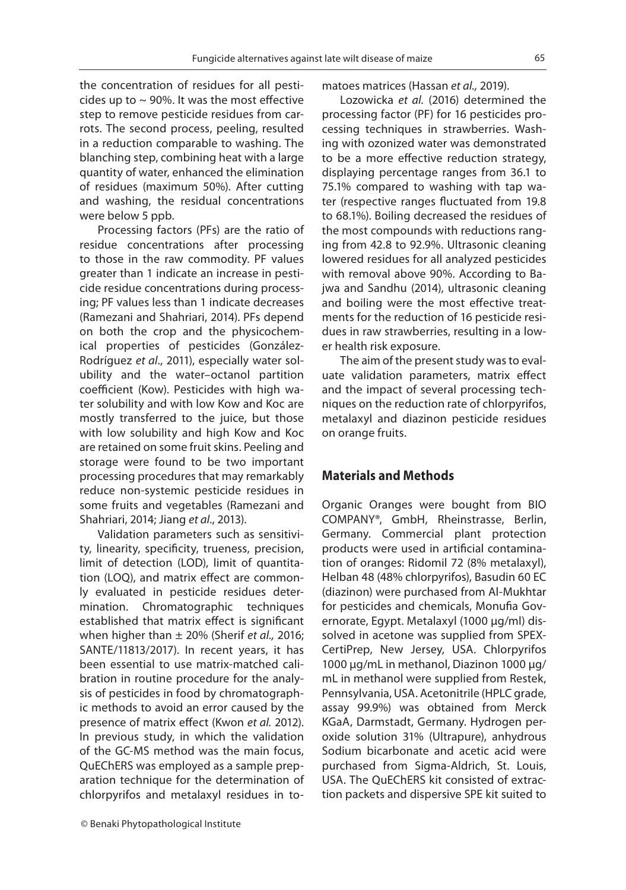the concentration of residues for all pesticides up to  $\sim$  90%. It was the most effective step to remove pesticide residues from carrots. The second process, peeling, resulted in a reduction comparable to washing. The blanching step, combining heat with a large quantity of water, enhanced the elimination of residues (maximum 50%). After cutting and washing, the residual concentrations were below 5 ppb.

Processing factors (PFs) are the ratio of residue concentrations after processing to those in the raw commodity. PF values greater than 1 indicate an increase in pesticide residue concentrations during processing; PF values less than 1 indicate decreases (Ramezani and Shahriari, 2014). PFs depend on both the crop and the physicochemical properties of pesticides (González-Rodríguez *et al*., 2011), especially water solubility and the water–octanol partition coefficient (Kow). Pesticides with high water solubility and with low Kow and Koc are mostly transferred to the juice, but those with low solubility and high Kow and Koc are retained on some fruit skins. Peeling and storage were found to be two important processing procedures that may remarkably reduce non-systemic pesticide residues in some fruits and vegetables (Ramezani and Shahriari, 2014; Jiang *et al*., 2013).

Validation parameters such as sensitivity, linearity, specificity, trueness, precision, limit of detection (LOD), limit of quantitation (LOQ), and matrix effect are commonly evaluated in pesticide residues determination. Chromatographic techniques established that matrix effect is significant when higher than ± 20% (Sherif *et al.,* 2016; SANTE/11813/2017). In recent years, it has been essential to use matrix-matched calibration in routine procedure for the analysis of pesticides in food by chromatographic methods to avoid an error caused by the presence of matrix effect (Kwon *et al.* 2012). In previous study, in which the validation of the GC-MS method was the main focus, QuEChERS was employed as a sample preparation technique for the determination of chlorpyrifos and metalaxyl residues in tomatoes matrices (Hassan *et al.,* 2019).

Lozowicka *et al.* (2016) determined the processing factor (PF) for 16 pesticides processing techniques in strawberries. Washing with ozonized water was demonstrated to be a more effective reduction strategy, displaying percentage ranges from 36.1 to 75.1% compared to washing with tap water (respective ranges fluctuated from 19.8 to 68.1%). Boiling decreased the residues of the most compounds with reductions ranging from 42.8 to 92.9%. Ultrasonic cleaning lowered residues for all analyzed pesticides with removal above 90%. According to Bajwa and Sandhu (2014), ultrasonic cleaning and boiling were the most effective treatments for the reduction of 16 pesticide residues in raw strawberries, resulting in a lower health risk exposure.

The aim of the present study was to evaluate validation parameters, matrix effect and the impact of several processing techniques on the reduction rate of chlorpyrifos, metalaxyl and diazinon pesticide residues on orange fruits.

# **Materials and Methods**

Organic Oranges were bought from BIO COMPANY®, GmbH, Rheinstrasse, Berlin, Germany. Commercial plant protection products were used in artificial contamination of oranges: Ridomil 72 (8% metalaxyl), Helban 48 (48% chlorpyrifos), Basudin 60 EC (diazinon) were purchased from Al-Mukhtar for pesticides and chemicals, Monufia Governorate, Egypt. Metalaxyl (1000 µg/ml) dissolved in acetone was supplied from SPEX-CertiPrep, New Jersey, USA. Chlorpyrifos 1000 µg/mL in methanol, Diazinon 1000 µg/ mL in methanol were supplied from Restek, Pennsylvania, USA. Acetonitrile (HPLC grade, assay 99.9%) was obtained from Merck KGaA, Darmstadt, Germany. Hydrogen peroxide solution 31% (Ultrapure), anhydrous Sodium bicarbonate and acetic acid were purchased from Sigma-Aldrich, St. Louis, USA. The QuEChERS kit consisted of extraction packets and dispersive SPE kit suited to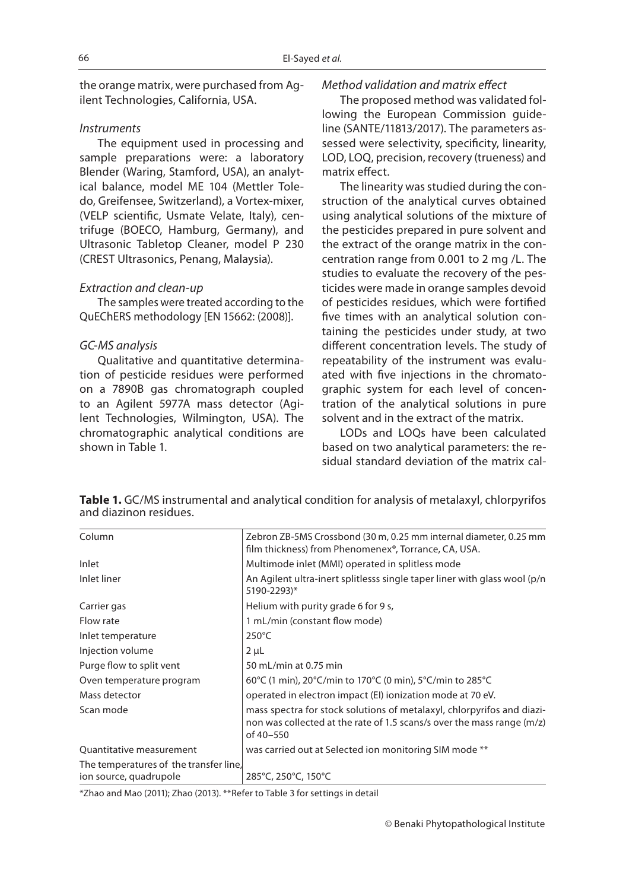the orange matrix, were purchased from Agilent Technologies, California, USA.

## *Instruments*

The equipment used in processing and sample preparations were: a laboratory Blender (Waring, Stamford, USA), an analytical balance, model ME 104 (Mettler Toledo, Greifensee, Switzerland), a Vortex-mixer, (VELP scientific, Usmate Velate, Italy), centrifuge (BOECO, Hamburg, Germany), and Ultrasonic Tabletop Cleaner, model P 230 (CREST Ultrasonics, Penang, Malaysia).

#### *Extraction and clean-up*

The samples were treated according to the QuEChERS methodology [EN 15662: (2008)].

### *GC-MS analysis*

Qualitative and quantitative determination of pesticide residues were performed on a 7890B gas chromatograph coupled to an Agilent 5977A mass detector (Agilent Technologies, Wilmington, USA). The chromatographic analytical conditions are shown in Table 1.

### *Method validation and matrix effect*

The proposed method was validated following the European Commission guideline (SANTE/11813/2017). The parameters assessed were selectivity, specificity, linearity, LOD, LOQ, precision, recovery (trueness) and matrix effect.

The linearity was studied during the construction of the analytical curves obtained using analytical solutions of the mixture of the pesticides prepared in pure solvent and the extract of the orange matrix in the concentration range from 0.001 to 2 mg /L. The studies to evaluate the recovery of the pesticides were made in orange samples devoid of pesticides residues, which were fortified five times with an analytical solution containing the pesticides under study, at two different concentration levels. The study of repeatability of the instrument was evaluated with five injections in the chromatographic system for each level of concentration of the analytical solutions in pure solvent and in the extract of the matrix.

LODs and LOQs have been calculated based on two analytical parameters: the residual standard deviation of the matrix cal-

**Table 1.** GC/MS instrumental and analytical condition for analysis of metalaxyl, chlorpyrifos and diazinon residues.

| Column                                 | Zebron ZB-5MS Crossbond (30 m, 0.25 mm internal diameter, 0.25 mm<br>film thickness) from Phenomenex®, Torrance, CA, USA.                                     |
|----------------------------------------|---------------------------------------------------------------------------------------------------------------------------------------------------------------|
| Inlet                                  | Multimode inlet (MMI) operated in splitless mode                                                                                                              |
| Inlet liner                            | An Agilent ultra-inert splitlesss single taper liner with glass wool (p/n<br>5190-2293)*                                                                      |
| Carrier gas                            | Helium with purity grade 6 for 9 s,                                                                                                                           |
| Flow rate                              | 1 mL/min (constant flow mode)                                                                                                                                 |
| Inlet temperature                      | $250^{\circ}$ C                                                                                                                                               |
| Injection volume                       | $2 \mu L$                                                                                                                                                     |
| Purge flow to split vent               | 50 mL/min at 0.75 min                                                                                                                                         |
| Oven temperature program               | 60°C (1 min), 20°C/min to 170°C (0 min), 5°C/min to 285°C                                                                                                     |
| Mass detector                          | operated in electron impact (EI) ionization mode at 70 eV.                                                                                                    |
| Scan mode                              | mass spectra for stock solutions of metalaxyl, chlorpyrifos and diazi-<br>non was collected at the rate of 1.5 scans/s over the mass range (m/z)<br>of 40-550 |
| Quantitative measurement               | was carried out at Selected ion monitoring SIM mode **                                                                                                        |
| The temperatures of the transfer line, |                                                                                                                                                               |
| ion source, quadrupole                 | 285°C, 250°C, 150°C                                                                                                                                           |

\*Zhao and Mao (2011); Zhao (2013). \*\*Refer to Table 3 for settings in detail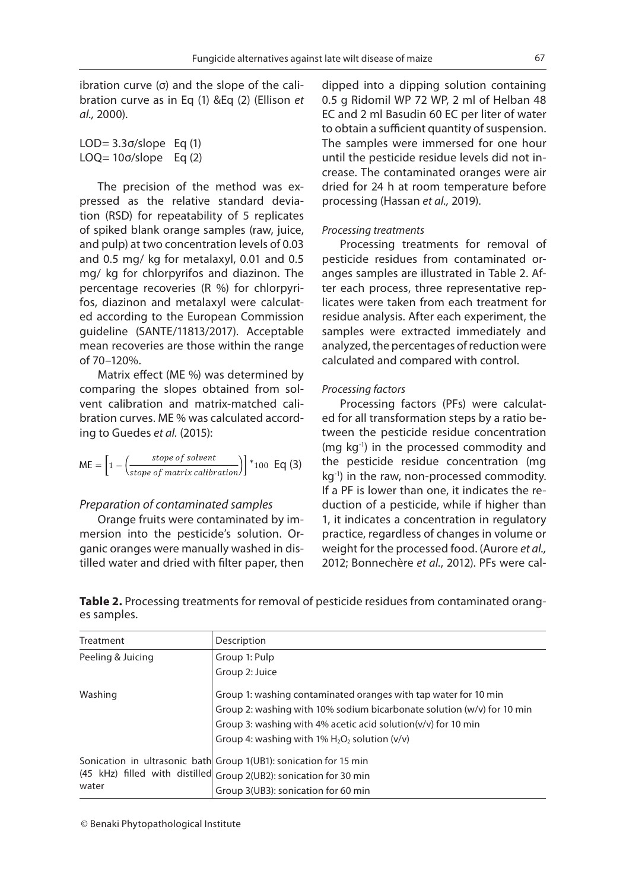ibration curve (σ) and the slope of the calibration curve as in Eq (1) &Eq (2) (Ellison *et al.,* 2000).

```
LOD=3.3\sigma/slope Eq (1)
LOQ= 10σ/slope Eq (2)
```
The precision of the method was expressed as the relative standard deviation (RSD) for repeatability of 5 replicates of spiked blank orange samples (raw, juice, and pulp) at two concentration levels of 0.03 and 0.5 mg/ kg for metalaxyl, 0.01 and 0.5 mg/ kg for chlorpyrifos and diazinon. The percentage recoveries (R %) for chlorpyrifos, diazinon and metalaxyl were calculated according to the European Commission guideline (SANTE/11813/2017). Acceptable mean recoveries are those within the range of 70–120%.

Matrix effect (ME %) was determined by comparing the slopes obtained from solvent calibration and matrix-matched calibration curves. ME % was calculated according to Guedes *et al.* (2015):

$$
ME = \left[1 - \left(\frac{stope of solvent}{stope of matrix calibration})\right)\right] * 100 \text{ Eq (3)}
$$

## *Preparation of contaminated samples*

Orange fruits were contaminated by immersion into the pesticide's solution. Organic oranges were manually washed in distilled water and dried with filter paper, then dipped into a dipping solution containing 0.5 g Ridomil WP 72 WP, 2 ml of Helban 48 EC and 2 ml Basudin 60 EC per liter of water to obtain a sufficient quantity of suspension. The samples were immersed for one hour until the pesticide residue levels did not increase. The contaminated oranges were air dried for 24 h at room temperature before processing (Hassan *et al.,* 2019).

#### *Processing treatments*

Processing treatments for removal of pesticide residues from contaminated oranges samples are illustrated in Table 2. After each process, three representative replicates were taken from each treatment for residue analysis. After each experiment, the samples were extracted immediately and analyzed, the percentages of reduction were calculated and compared with control.

#### *Processing factors*

Processing factors (PFs) were calculated for all transformation steps by a ratio between the pesticide residue concentration (mg kg-1) in the processed commodity and the pesticide residue concentration (mg kg<sup>-1</sup>) in the raw, non-processed commodity. If a PF is lower than one, it indicates the reduction of a pesticide, while if higher than 1, it indicates a concentration in regulatory practice, regardless of changes in volume or weight for the processed food. (Aurore *et al.,* 2012; Bonnechère *et al.*, 2012). PFs were cal-

**Table 2.** Processing treatments for removal of pesticide residues from contaminated oranges samples.

| Treatment         | Description                                                              |
|-------------------|--------------------------------------------------------------------------|
| Peeling & Juicing | Group 1: Pulp                                                            |
|                   | Group 2: Juice                                                           |
| Washing           | Group 1: washing contaminated oranges with tap water for 10 min          |
|                   | Group 2: washing with 10% sodium bicarbonate solution (w/v) for 10 min   |
|                   | Group 3: washing with 4% acetic acid solution(v/v) for 10 min            |
|                   | Group 4: washing with $1\%$ H <sub>2</sub> O <sub>2</sub> solution (v/v) |
|                   | Sonication in ultrasonic bath Group 1(UB1): sonication for 15 min        |
|                   | (45 kHz) filled with distilled Group 2(UB2): sonication for 30 min       |
| water             | Group 3(UB3): sonication for 60 min                                      |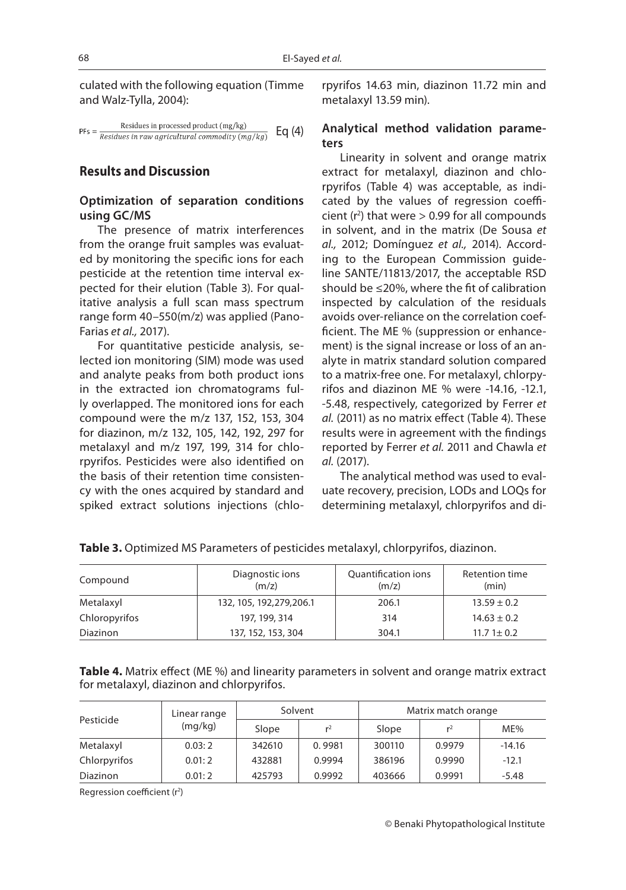culated with the following equation (Timme and Walz-Tylla, 2004):

$$
PF_s = \frac{Residues \ in \ processed \ product \ (mg/kg)}{Residues \ in \ raw \ agricultural \ commodity \ (mg/kg)} \quad Eq \ (4)
$$

# **Results and Discussion**

# **Optimization of separation conditions using GC/MS**

The presence of matrix interferences from the orange fruit samples was evaluated by monitoring the specific ions for each pesticide at the retention time interval expected for their elution (Table 3). For qualitative analysis a full scan mass spectrum range form 40–550(m/z) was applied (Pano-Farias *et al.,* 2017).

For quantitative pesticide analysis, selected ion monitoring (SIM) mode was used and analyte peaks from both product ions in the extracted ion chromatograms fully overlapped. The monitored ions for each compound were the m/z 137, 152, 153, 304 for diazinon, m/z 132, 105, 142, 192, 297 for metalaxyl and m/z 197, 199, 314 for chlorpyrifos. Pesticides were also identified on the basis of their retention time consistency with the ones acquired by standard and spiked extract solutions injections (chlorpyrifos 14.63 min, diazinon 11.72 min and metalaxyl 13.59 min).

## **Analytical method validation parameters**

Linearity in solvent and orange matrix extract for metalaxyl, diazinon and chlorpyrifos (Table 4) was acceptable, as indicated by the values of regression coefficient  $(r^2)$  that were  $> 0.99$  for all compounds in solvent, and in the matrix (De Sousa *et al.,* 2012; Domínguez *et al.,* 2014). According to the European Commission guideline SANTE/11813/2017, the acceptable RSD should be ≤20%, where the fit of calibration inspected by calculation of the residuals avoids over-reliance on the correlation coefficient. The ME % (suppression or enhancement) is the signal increase or loss of an analyte in matrix standard solution compared to a matrix-free one. For metalaxyl, chlorpyrifos and diazinon ME % were -14.16, -12.1, -5.48, respectively, categorized by Ferrer *et al.* (2011) as no matrix effect (Table 4). These results were in agreement with the findings reported by Ferrer *et al.* 2011 and Chawla *et al.* (2017).

The analytical method was used to evaluate recovery, precision, LODs and LOQs for determining metalaxyl, chlorpyrifos and di-

| Compound        | Diagnostic ions<br>(m/z)  | Quantification ions<br>(m/z) | Retention time<br>(min) |
|-----------------|---------------------------|------------------------------|-------------------------|
| Metalaxyl       | 132, 105, 192, 279, 206.1 | 206.1                        | $13.59 \pm 0.2$         |
| Chloropyrifos   | 197, 199, 314             | 314                          | $14.63 \pm 0.2$         |
| <b>Diazinon</b> | 137, 152, 153, 304        | 304.1                        | $11.71 \pm 0.2$         |

**Table 3.** Optimized MS Parameters of pesticides metalaxyl, chlorpyrifos, diazinon.

Table 4. Matrix effect (ME %) and linearity parameters in solvent and orange matrix extract for metalaxyl, diazinon and chlorpyrifos.

|              | Linear range | Solvent |                |        | Matrix match orange |          |
|--------------|--------------|---------|----------------|--------|---------------------|----------|
| Pesticide    | (mq/kg)      | Slope   | r <sup>2</sup> | Slope  | r <sup>2</sup>      | $ME\%$   |
| Metalaxyl    | 0.03:2       | 342610  | 0.9981         | 300110 | 0.9979              | $-14.16$ |
| Chlorpyrifos | 0.01:2       | 432881  | 0.9994         | 386196 | 0.9990              | $-12.1$  |
| Diazinon     | 0.01:2       | 425793  | 0.9992         | 403666 | 0.9991              | $-5.48$  |

Regression coefficient  $(r<sup>2</sup>)$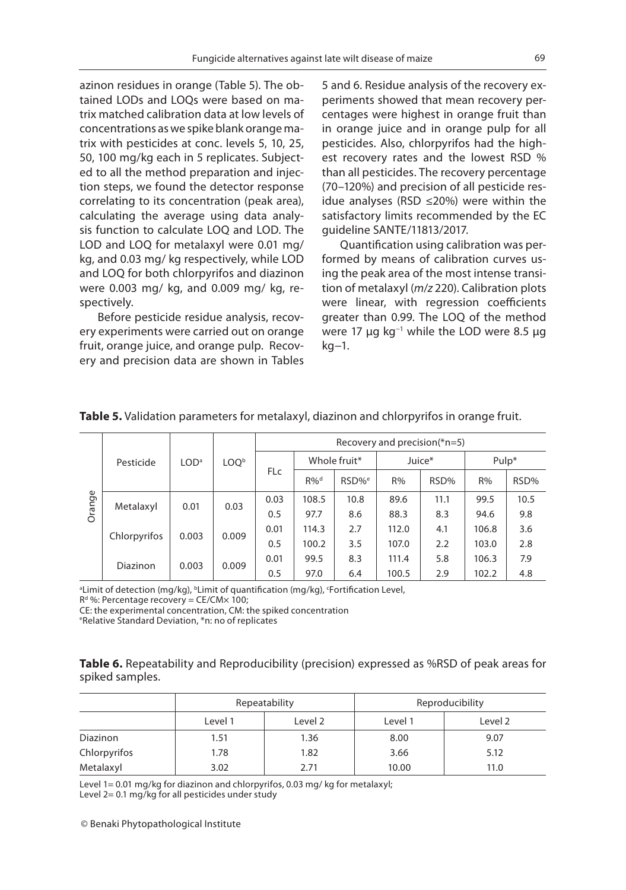azinon residues in orange (Table 5). The obtained LODs and LOQs were based on matrix matched calibration data at low levels of concentrations as we spike blank orange matrix with pesticides at conc. levels 5, 10, 25, 50, 100 mg/kg each in 5 replicates. Subjected to all the method preparation and injection steps, we found the detector response correlating to its concentration (peak area), calculating the average using data analysis function to calculate LOQ and LOD. The LOD and LOQ for metalaxyl were 0.01 mg/ kg, and 0.03 mg/ kg respectively, while LOD and LOQ for both chlorpyrifos and diazinon were 0.003 mg/ kg, and 0.009 mg/ kg, respectively.

Before pesticide residue analysis, recovery experiments were carried out on orange fruit, orange juice, and orange pulp. Recovery and precision data are shown in Tables

5 and 6. Residue analysis of the recovery experiments showed that mean recovery percentages were highest in orange fruit than in orange juice and in orange pulp for all pesticides. Also, chlorpyrifos had the highest recovery rates and the lowest RSD % than all pesticides. The recovery percentage (70–120%) and precision of all pesticide residue analyses (RSD ≤20%) were within the satisfactory limits recommended by the EC guideline SANTE/11813/2017.

Quantification using calibration was performed by means of calibration curves using the peak area of the most intense transition of metalaxyl (*m*/*z* 220). Calibration plots were linear, with regression coefficients greater than 0.99. The LOQ of the method were 17 μg kg<sup>-1</sup> while the LOD were 8.5 μg kg−1.

|        |              |                  |                  |            |        |                   |       | Recovery and precision( $*$ n=5) |       |      |     |      |     |
|--------|--------------|------------------|------------------|------------|--------|-------------------|-------|----------------------------------|-------|------|-----|------|-----|
|        | Pesticide    | LOD <sup>a</sup> | LOO <sup>b</sup> |            |        | Whole fruit*      |       | Juice*                           | Pulp* |      |     |      |     |
|        |              |                  |                  | <b>FLc</b> | $R\%d$ | RSD% <sup>e</sup> | R%    | RSD%                             | R%    | RSD% |     |      |     |
| Orange | Metalaxyl    | 0.01             | 0.03             | 0.03       | 108.5  | 10.8              | 89.6  | 11.1                             | 99.5  | 10.5 |     |      |     |
|        |              |                  |                  |            |        |                   | 0.5   | 97.7                             | 8.6   | 88.3 | 8.3 | 94.6 | 9.8 |
|        | Chlorpyrifos | 0.003            | 0.009            | 0.01       | 114.3  | 2.7               | 112.0 | 4.1                              | 106.8 | 3.6  |     |      |     |
|        |              |                  |                  | 0.5        | 100.2  | 3.5               | 107.0 | 2.2                              | 103.0 | 2.8  |     |      |     |
|        | Diazinon     | 0.003            | 0.009            | 0.01       | 99.5   | 8.3               | 111.4 | 5.8                              | 106.3 | 7.9  |     |      |     |
|        |              |                  |                  | 0.5        | 97.0   | 6.4               | 100.5 | 2.9                              | 102.2 | 4.8  |     |      |     |

#### **Table 5.** Validation parameters for metalaxyl, diazinon and chlorpyrifos in orange fruit.

<sup>a</sup>Limit of detection (mg/kg), <sup>b</sup>Limit of quantification (mg/kg), 'Fortification Level,

 $R<sup>d</sup>$ %: Percentage recovery = CE/CM $\times$  100;

CE: the experimental concentration, CM: the spiked concentration

e Relative Standard Deviation, \*n: no of replicates

|                 | Table 6. Repeatability and Reproducibility (precision) expressed as %RSD of peak areas for |  |  |  |  |
|-----------------|--------------------------------------------------------------------------------------------|--|--|--|--|
| spiked samples. |                                                                                            |  |  |  |  |

|                 |         | Repeatability |         | Reproducibility |
|-----------------|---------|---------------|---------|-----------------|
|                 | Level 1 | Level 2       | Level 1 | Level 2         |
| <b>Diazinon</b> | 1.51    | 1.36          | 8.00    | 9.07            |
| Chlorpyrifos    | 1.78    | 1.82          | 3.66    | 5.12            |
| Metalaxyl       | 3.02    | 2.71          | 10.00   | 11.0            |

Level 1= 0.01 mg/kg for diazinon and chlorpyrifos, 0.03 mg/kg for metalaxyl; Level 2= 0.1 mg/kg for all pesticides under study

© Benaki Phytopathological Institute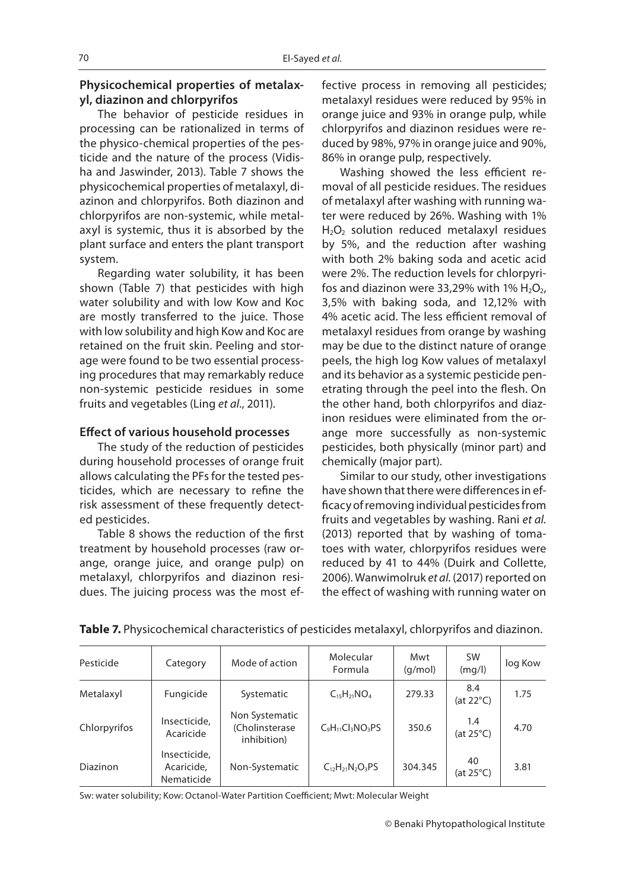# **Physicochemical properties of metalaxyl, diazinon and chlorpyrifos**

The behavior of pesticide residues in processing can be rationalized in terms of the physico-chemical properties of the pesticide and the nature of the process (Vidisha and Jaswinder, 2013). Table 7 shows the physicochemical properties of metalaxyl, diazinon and chlorpyrifos. Both diazinon and chlorpyrifos are non-systemic, while metalaxyl is systemic, thus it is absorbed by the plant surface and enters the plant transport system.

Regarding water solubility, it has been shown (Table 7) that pesticides with high water solubility and with low Kow and Koc are mostly transferred to the juice. Those with low solubility and high Kow and Koc are retained on the fruit skin. Peeling and storage were found to be two essential processing procedures that may remarkably reduce non-systemic pesticide residues in some fruits and vegetables (Ling *et al*., 2011).

### **Effect of various household processes**

The study of the reduction of pesticides during household processes of orange fruit allows calculating the PFs for the tested pesticides, which are necessary to refine the risk assessment of these frequently detected pesticides.

Table 8 shows the reduction of the first treatment by household processes (raw orange, orange juice, and orange pulp) on metalaxyl, chlorpyrifos and diazinon residues. The juicing process was the most effective process in removing all pesticides; metalaxyl residues were reduced by 95% in orange juice and 93% in orange pulp, while chlorpyrifos and diazinon residues were reduced by 98%, 97% in orange juice and 90%, 86% in orange pulp, respectively.

Washing showed the less efficient removal of all pesticide residues. The residues of metalaxyl after washing with running water were reduced by 26%. Washing with 1%  $H<sub>2</sub>O<sub>2</sub>$  solution reduced metalaxyl residues by 5%, and the reduction after washing with both 2% baking soda and acetic acid were 2%. The reduction levels for chlorpyrifos and diazinon were 33,29% with 1%  $H_2O_2$ , 3,5% with baking soda, and 12,12% with 4% acetic acid. The less efficient removal of metalaxyl residues from orange by washing may be due to the distinct nature of orange peels, the high log Kow values of metalaxyl and its behavior as a systemic pesticide penetrating through the peel into the flesh. On the other hand, both chlorpyrifos and diazinon residues were eliminated from the orange more successfully as non-systemic pesticides, both physically (minor part) and chemically (major part).

Similar to our study, other investigations have shown that there were differences in efficacy of removing individual pesticides from fruits and vegetables by washing. Rani *et al.* (2013) reported that by washing of tomatoes with water, chlorpyrifos residues were reduced by 41 to 44% (Duirk and Collette, 2006). Wanwimolruk *et al.* (2017) reported on the effect of washing with running water on

| Pesticide    | Category                                 | Mode of action                                   | Molecular<br>Formula       | Mwt<br>(q/mol) | <b>SW</b><br>(mq/l)        | log Kow |
|--------------|------------------------------------------|--------------------------------------------------|----------------------------|----------------|----------------------------|---------|
| Metalaxyl    | Fungicide                                | Systematic                                       | $C_{15}H_{21}NO_4$         | 279.33         | 8.4<br>(at $22^{\circ}$ C) | 1.75    |
| Chlorpyrifos | Insecticide,<br>Acaricide                | Non Systematic<br>(Cholinsterase)<br>inhibition) | $C_9H_{11}Cl_3NO_3PS$      | 350.6          | 1.4<br>(at $25^{\circ}$ C) | 4.70    |
| Diazinon     | Insecticide,<br>Acaricide,<br>Nematicide | Non-Systematic                                   | $C_{12}H_{21}N_{2}O_{3}PS$ | 304.345        | 40<br>(at 25°C)            | 3.81    |

## **Table 7.** Physicochemical characteristics of pesticides metalaxyl, chlorpyrifos and diazinon.

Sw: water solubility; Kow: Octanol-Water Partition Coefficient; Mwt: Molecular Weight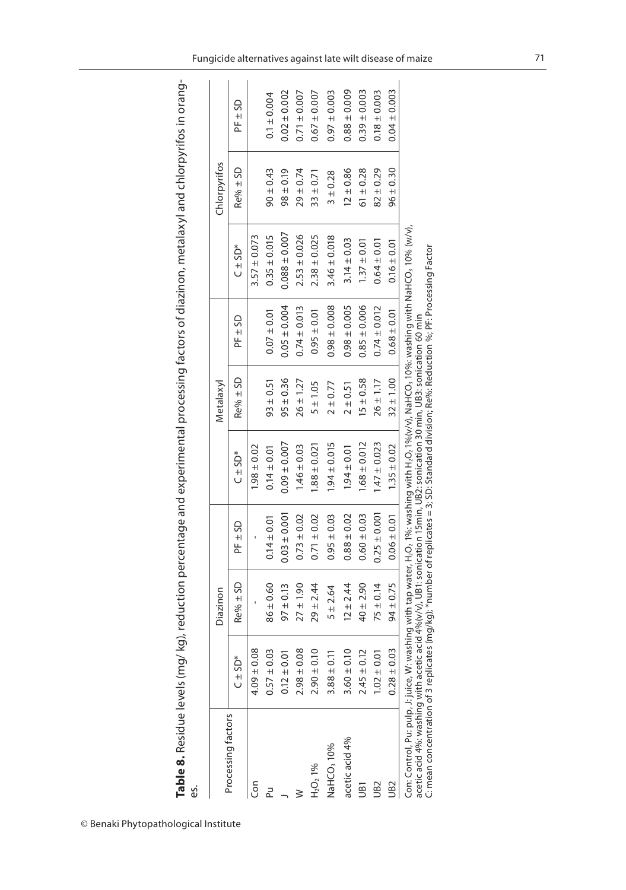**Table 8.** Residue levels (mg/ kg), reduction percentage and experimental processing factors of diazinon, metalaxyl and chlorpyrifos in orang-**Table 8.** Residue levels (mg/ kg), reduction percentage and experimental processing factors of diazinon, metalaxyl and chlorpyrifos in orang-<br>es.

|                                                                                                                                                                                                                                                                                                                                                                                        |                 | Diazinon      |                  |                                                                                                       | Metalaxyl     |                  |                   | Chlorpyrifos  |                  |
|----------------------------------------------------------------------------------------------------------------------------------------------------------------------------------------------------------------------------------------------------------------------------------------------------------------------------------------------------------------------------------------|-----------------|---------------|------------------|-------------------------------------------------------------------------------------------------------|---------------|------------------|-------------------|---------------|------------------|
| Processing factors                                                                                                                                                                                                                                                                                                                                                                     | $C \pm SO^*$    | $Re% \pm SD$  | $PF \pm SD$      | $C \pm SD^*$                                                                                          | $Re% \pm SD$  | PF ± SD          | $C \pm SD^*$      | $Re% \pm SD$  | PF ± SD          |
| Con                                                                                                                                                                                                                                                                                                                                                                                    | $4.09 \pm 0.08$ |               |                  | $0.05 + 861$                                                                                          |               |                  | $3.57 \pm 0.073$  |               |                  |
|                                                                                                                                                                                                                                                                                                                                                                                        | $0.57 \pm 0.03$ | $86 \pm 0.60$ | $0.14 \pm 0.01$  | $0.14 \pm 0.01$                                                                                       | $93 \pm 0.51$ | $0.07 \pm 0.01$  | $0.35 \pm 0.015$  | $90 \pm 0.43$ | $0.1 \pm 0.004$  |
|                                                                                                                                                                                                                                                                                                                                                                                        | $0.12 \pm 0.01$ | $97 \pm 0.13$ | $0.03 \pm 0.001$ | $0.09 \pm 0.007$                                                                                      | $95 \pm 0.36$ | $0.05 \pm 0.004$ | $0.088 \pm 0.007$ | $98 \pm 0.19$ | $0.02 \pm 0.002$ |
|                                                                                                                                                                                                                                                                                                                                                                                        | $2.98 \pm 0.08$ | $27 \pm 1.90$ | $0.73 \pm 0.02$  | $1.46 \pm 0.03$                                                                                       | $26 \pm 1.27$ | $0.74 \pm 0.013$ | $2.53 \pm 0.026$  | $29 \pm 0.74$ | $0.71 \pm 0.007$ |
| $H_2O_2$ 1%                                                                                                                                                                                                                                                                                                                                                                            | $2.90 \pm 0.10$ | $29 \pm 2.44$ | $0.71 \pm 0.02$  | $1.88 \pm 0.021$                                                                                      | 5 ± 1.05      | $0.95 \pm 0.01$  | $2.38 \pm 0.025$  | $33 \pm 0.71$ | $0.67 \pm 0.007$ |
| NaHCO <sub>3</sub> 10%                                                                                                                                                                                                                                                                                                                                                                 | $3.88 \pm 0.11$ | 5 ± 2.64      | $0.95 \pm 0.03$  | $1.94 \pm 0.015$                                                                                      | $2 \pm 0.77$  | $0.98 \pm 0.008$ | $3.46 \pm 0.018$  | $3 \pm 0.28$  | $0.97 \pm 0.003$ |
| acetic acid 4%                                                                                                                                                                                                                                                                                                                                                                         | $3.60 \pm 0.10$ | $12 \pm 2.44$ | $0.88 \pm 0.02$  | $1.94 \pm 0.01$                                                                                       | $2 \pm 0.51$  | $0.98 \pm 0.005$ | $3.14 \pm 0.03$   | $12 \pm 0.86$ | $0.88 \pm 0.009$ |
| š                                                                                                                                                                                                                                                                                                                                                                                      | $2.45 \pm 0.12$ | $40 \pm 2.90$ | $0.60 \pm 0.03$  | $1.68 \pm 0.012$                                                                                      | $15 \pm 0.58$ | $0.85 \pm 0.006$ | $1.37 \pm 0.01$   | $61 \pm 0.28$ | $0.39 \pm 0.003$ |
| UB <sub>2</sub>                                                                                                                                                                                                                                                                                                                                                                        | $1.02 \pm 0.01$ | $75 \pm 0.14$ | $0.25 \pm 0.001$ | $1.47 \pm 0.023$                                                                                      | $26 \pm 1.17$ | $0.74 \pm 0.012$ | $0.64 \pm 0.01$   | $82 + 0.29$   | $0.18 \pm 0.003$ |
| UB <sub>2</sub>                                                                                                                                                                                                                                                                                                                                                                        | $0.28 \pm 0.03$ | $94 \pm 0.75$ | $0.06 \pm 0.01$  | $1.35 \pm 0.02$                                                                                       | $32 \pm 1.00$ | $0.68 \pm 0.01$  | $0.16 \pm 0.01$   | $96 \pm 0.30$ | $0.04 \pm 0.003$ |
| Con: Control, Pu: pulp, J: juice, W: washing with tap water, H <sub>2</sub> O <sub>2</sub> 1%: washing with H <sub>2</sub> O <sub>2</sub> 1Q%(/v), NaHCO <sub>3</sub> 1Q%: washing with NaHCO <sub>3</sub> 10% (w/V),<br>acetic acid 4%: washing with acetic acid 4%(v/v), UB1:sonication 15min, UB2: sonication 30 min, UB3: sonication 60 min<br>C: mean concentration of 3 replicat |                 |               |                  | es (mg/kg); *number of replicates = 3; SD: Standard division; Re%: Reduction %; PF: Processing Factor |               |                  |                   |               |                  |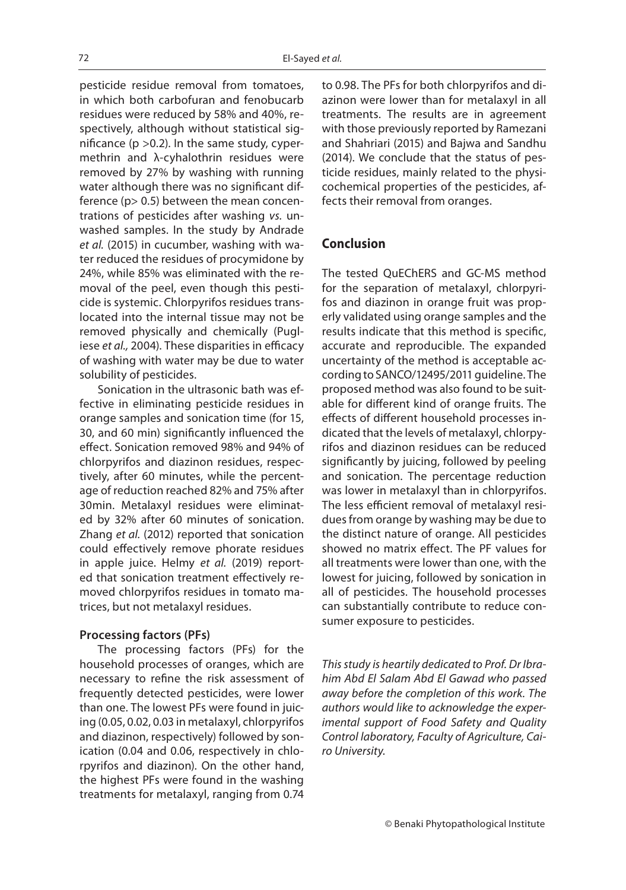pesticide residue removal from tomatoes, in which both carbofuran and fenobucarb residues were reduced by 58% and 40%, respectively, although without statistical significance ( $p > 0.2$ ). In the same study, cypermethrin and λ-cyhalothrin residues were removed by 27% by washing with running water although there was no significant difference (p> 0.5) between the mean concentrations of pesticides after washing *vs.* unwashed samples. In the study by Andrade *et al.* (2015) in cucumber, washing with water reduced the residues of procymidone by 24%, while 85% was eliminated with the removal of the peel, even though this pesticide is systemic. Chlorpyrifos residues translocated into the internal tissue may not be removed physically and chemically (Pugliese *et al.,* 2004). These disparities in efficacy of washing with water may be due to water solubility of pesticides.

Sonication in the ultrasonic bath was effective in eliminating pesticide residues in orange samples and sonication time (for 15, 30, and 60 min) significantly influenced the effect. Sonication removed 98% and 94% of chlorpyrifos and diazinon residues, respectively, after 60 minutes, while the percentage of reduction reached 82% and 75% after 30min. Metalaxyl residues were eliminated by 32% after 60 minutes of sonication. Zhang *et al.* (2012) reported that sonication could effectively remove phorate residues in apple juice. Helmy *et al.* (2019) reported that sonication treatment effectively removed chlorpyrifos residues in tomato matrices, but not metalaxyl residues.

#### **Processing factors (PFs)**

The processing factors (PFs) for the household processes of oranges, which are necessary to refine the risk assessment of frequently detected pesticides, were lower than one. The lowest PFs were found in juicing (0.05, 0.02, 0.03 in metalaxyl, chlorpyrifos and diazinon, respectively) followed by sonication (0.04 and 0.06, respectively in chlorpyrifos and diazinon). On the other hand, the highest PFs were found in the washing treatments for metalaxyl, ranging from 0.74

to 0.98. The PFs for both chlorpyrifos and diazinon were lower than for metalaxyl in all treatments. The results are in agreement with those previously reported by Ramezani and Shahriari (2015) and Bajwa and Sandhu (2014). We conclude that the status of pesticide residues, mainly related to the physicochemical properties of the pesticides, affects their removal from oranges.

# **Conclusion**

The tested QuEChERS and GC-MS method for the separation of metalaxyl, chlorpyrifos and diazinon in orange fruit was properly validated using orange samples and the results indicate that this method is specific, accurate and reproducible. The expanded uncertainty of the method is acceptable according to SANCO/12495/2011 guideline. The proposed method was also found to be suitable for different kind of orange fruits. The effects of different household processes indicated that the levels of metalaxyl, chlorpyrifos and diazinon residues can be reduced significantly by juicing, followed by peeling and sonication. The percentage reduction was lower in metalaxyl than in chlorpyrifos. The less efficient removal of metalaxyl residues from orange by washing may be due to the distinct nature of orange. All pesticides showed no matrix effect. The PF values for all treatments were lower than one, with the lowest for juicing, followed by sonication in all of pesticides. The household processes can substantially contribute to reduce consumer exposure to pesticides.

*This study is heartily dedicated to Prof. Dr Ibrahim Abd El Salam Abd El Gawad who passed away before the completion of this work. The authors would like to acknowledge the experimental support of Food Safety and Quality Control laboratory, Faculty of Agriculture, Cairo University.*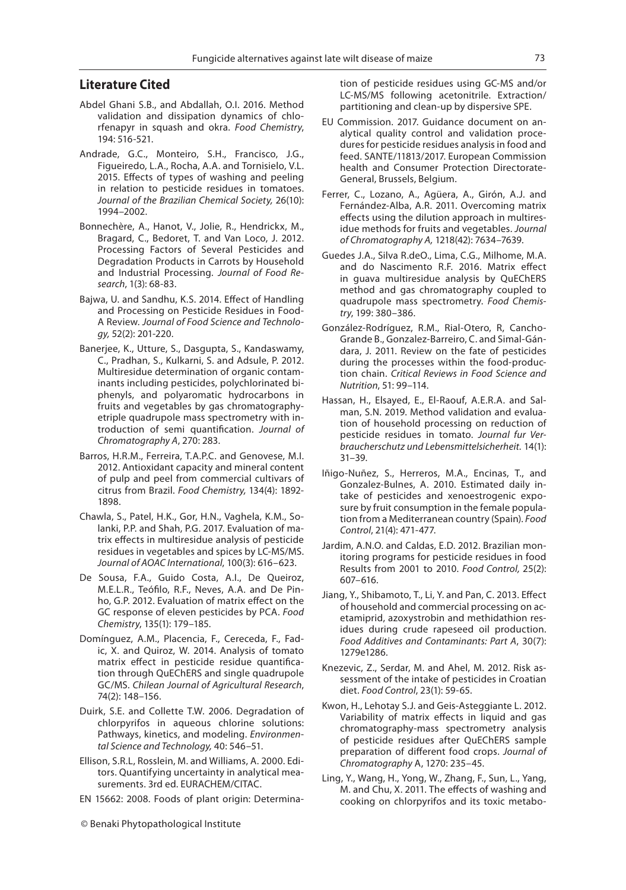# **Literature Cited**

- Abdel Ghani S.B., and Abdallah, O.I. 2016. Method validation and dissipation dynamics of chlorfenapyr in squash and okra. *Food Chemistry*, 194: 516-521.
- Andrade, G.C., Monteiro, S.H., Francisco, J.G., Figueiredo, L.A., Rocha, A.A. and Tornisielo, V.L. 2015. Effects of types of washing and peeling in relation to pesticide residues in tomatoes. *Journal of the Brazilian Chemical Society,* 26(10): 1994–2002.
- Bonnechère, A., Hanot, V., Jolie, R., Hendrickx, M., Bragard, C., Bedoret, T. and Van Loco, J. 2012. Processing Factors of Several Pesticides and Degradation Products in Carrots by Household and Industrial Processing. *Journal of Food Research*, 1(3): 68-83.
- Bajwa, U. and Sandhu, K.S. 2014. Effect of Handling and Processing on Pesticide Residues in Food-A Review. *Journal of Food Science and Technology,* 52(2): 201-220.
- Banerjee, K., Utture, S., Dasgupta, S., Kandaswamy, C., Pradhan, S., Kulkarni, S. and Adsule, P. 2012. Multiresidue determination of organic contaminants including pesticides, polychlorinated biphenyls, and polyaromatic hydrocarbons in fruits and vegetables by gas chromatographyetriple quadrupole mass spectrometry with introduction of semi quantification. *Journal of Chromatography A*, 270: 283.
- Barros, H.R.M., Ferreira, T.A.P.C. and Genovese, M.I. 2012. Antioxidant capacity and mineral content of pulp and peel from commercial cultivars of citrus from Brazil. *Food Chemistry,* 134(4): 1892- 1898.
- Chawla, S., Patel, H.K., Gor, H.N., Vaghela, K.M., Solanki, P.P. and Shah, P.G. 2017. Evaluation of matrix effects in multiresidue analysis of pesticide residues in vegetables and spices by LC-MS/MS. *Journal of AOAC International*, 100(3): 616–623.
- De Sousa, F.A., Guido Costa, A.I., De Queiroz, M.E.L.R., Teófilo, R.F., Neves, A.A. and De Pinho, G.P. 2012. Evaluation of matrix effect on the GC response of eleven pesticides by PCA. *Food Chemistry*, 135(1): 179–185.
- Domínguez, A.M., Placencia, F., Cereceda, F., Fadic, X. and Quiroz, W. 2014. Analysis of tomato matrix effect in pesticide residue quantification through QuEChERS and single quadrupole GC/MS*. Chilean Journal of Agricultural Research*, 74(2): 148–156.
- Duirk, S.E. and Collette T.W. 2006. Degradation of chlorpyrifos in aqueous chlorine solutions: Pathways, kinetics, and modeling. *Environmental Science and Technology,* 40: 546–51.
- Ellison, S.R.L, Rosslein, M. and Williams, A. 2000. Editors. Quantifying uncertainty in analytical measurements. 3rd ed. EURACHEM/CITAC.
- EN 15662: 2008. Foods of plant origin: Determina-

tion of pesticide residues using GC-MS and/or LC-MS/MS following acetonitrile. Extraction/ partitioning and clean-up by dispersive SPE.

- EU Commission. 2017. Guidance document on analytical quality control and validation procedures for pesticide residues analysis in food and feed. SANTE/11813/2017. European Commission health and Consumer Protection Directorate-General, Brussels, Belgium.
- Ferrer, C., Lozano, A., Agüera, A., Girón, A.J. and Fernández-Alba, A.R. 2011. Overcoming matrix effects using the dilution approach in multiresidue methods for fruits and vegetables. *Journal of Chromatography A,* 1218(42): 7634–7639.
- Guedes J.A., Silva R.deO., Lima, C.G., Milhome, M.A. and do Nascimento R.F. 2016. Matrix effect in guava multiresidue analysis by QuEChERS method and gas chromatography coupled to quadrupole mass spectrometry. *Food Chemistry*, 199: 380–386.
- González-Rodríguez, R.M., Rial-Otero, R, Cancho-Grande B., Gonzalez-Barreiro, C. and Simal-Gándara, J. 2011. Review on the fate of pesticides during the processes within the food-production chain. *Critical Reviews in Food Science and Nutrition*, 51: 99–114.
- Hassan, H., Elsayed, E., El-Raouf, A.E.R.A. and Salman, S.N. 2019. Method validation and evaluation of household processing on reduction of pesticide residues in tomato. *Journal fur Verbraucherschutz und Lebensmittelsicherheit.* 14(1): 31–39.
- Iñigo-Nuñez, S., Herreros, M.A., Encinas, T., and Gonzalez-Bulnes, A. 2010. Estimated daily intake of pesticides and xenoestrogenic exposure by fruit consumption in the female population from a Mediterranean country (Spain). *Food Control*, 21(4): 471-477.
- Jardim, A.N.O. and Caldas, E.D. 2012. Brazilian monitoring programs for pesticide residues in food Results from 2001 to 2010. *Food Control,* 25(2): 607–616.
- Jiang, Y., Shibamoto, T., Li, Y. and Pan, C. 2013. Effect of household and commercial processing on acetamiprid, azoxystrobin and methidathion residues during crude rapeseed oil production. *Food Additives and Contaminants: Part A*, 30(7): 1279e1286.
- Knezevic, Z., Serdar, M. and Ahel, M. 2012. Risk assessment of the intake of pesticides in Croatian diet. *Food Control*, 23(1): 59-65.
- Kwon, H., Lehotay S.J. and Geis-Asteggiante L. 2012. Variability of matrix effects in liquid and gas chromatography-mass spectrometry analysis of pesticide residues after QuEChERS sample preparation of different food crops. *Journal of Chromatography* A, 1270: 235–45.
- Ling, Y., Wang, H., Yong, W., Zhang, F., Sun, L., Yang, M. and Chu, X. 2011. The effects of washing and cooking on chlorpyrifos and its toxic metabo-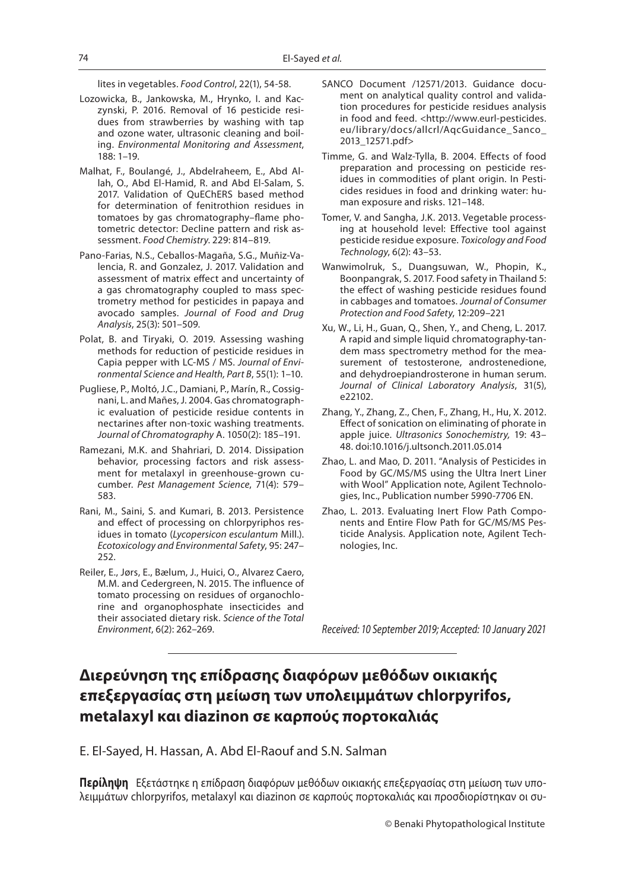lites in vegetables. *Food Control*, 22(1), 54-58.

- Lozowicka, B., Jankowska, M., Hrynko, I. and Kaczynski, P. 2016. Removal of 16 pesticide residues from strawberries by washing with tap and ozone water, ultrasonic cleaning and boiling. *Environmental Monitoring and Assessment*, 188: 1–19.
- Malhat, F., Boulangé, J., Abdelraheem, E., Abd Allah, O., Abd El-Hamid, R. and Abd El-Salam, S. 2017. Validation of QuEChERS based method for determination of fenitrothion residues in tomatoes by gas chromatography–flame photometric detector: Decline pattern and risk assessment. *Food Chemistry*. 229: 814–819.
- Pano-Farias, N.S., Ceballos-Magaña, S.G., Muñiz-Valencia, R. and Gonzalez, J. 2017. Validation and assessment of matrix effect and uncertainty of a gas chromatography coupled to mass spectrometry method for pesticides in papaya and avocado samples. *Journal of Food and Drug Analysis*, 25(3): 501–509.
- Polat, B. and Tiryaki, O. 2019. Assessing washing methods for reduction of pesticide residues in Capia pepper with LC-MS / MS. *Journal of Environmental Science and Health, Part B*, 55(1): 1–10.
- Pugliese, P., Moltó, J.C., Damiani, P., Marín, R., Cossignani, L. and Mañes, J. 2004. Gas chromatographic evaluation of pesticide residue contents in nectarines after non-toxic washing treatments. *Journal of Chromatography* A. 1050(2): 185–191.
- Ramezani, M.K. and Shahriari, D. 2014. Dissipation behavior, processing factors and risk assessment for metalaxyl in greenhouse-grown cucumber. *Pest Management Science*, 71(4): 579– 583.
- Rani, M., Saini, S. and Kumari, B. 2013. Persistence and effect of processing on chlorpyriphos residues in tomato (*Lycopersicon esculantum* Mill.). *Ecotoxicology and Environmental Safety*, 95: 247– 252.
- Reiler, E., Jørs, E., Bælum, J., Huici, O., Alvarez Caero, M.M. and Cedergreen, N. 2015. The influence of tomato processing on residues of organochlorine and organophosphate insecticides and their associated dietary risk. *Science of the Total Environment*, 6(2): 262–269.
- SANCO Document /12571/2013. Guidance document on analytical quality control and validation procedures for pesticide residues analysis in food and feed. <http://www.eurl-pesticides. eu/library/docs/allcrl/AqcGuidance\_Sanco\_ 2013\_12571.pdf>
- Timme, G. and Walz-Tylla, B. 2004. Effects of food preparation and processing on pesticide residues in commodities of plant origin. In Pesticides residues in food and drinking water: human exposure and risks. 121–148.
- Tomer, V. and Sangha, J.K. 2013. Vegetable processing at household level: Effective tool against pesticide residue exposure. *Toxicology and Food Technology*, 6(2): 43–53.
- Wanwimolruk, S., Duangsuwan, W., Phopin, K., Boonpangrak, S. 2017. Food safety in Thailand 5: the effect of washing pesticide residues found in cabbages and tomatoes. *Journal of Consumer Protection and Food Safety*, 12:209–221
- Xu, W., Li, H., Guan, Q., Shen, Y., and Cheng, L. 2017. A rapid and simple liquid chromatography‐tandem mass spectrometry method for the measurement of testosterone, androstenedione, and dehydroepiandrosterone in human serum. *Journal of Clinical Laboratory Analysis*, 31(5), e22102.
- Zhang, Y., Zhang, Z., Chen, F., Zhang, H., Hu, X. 2012. Effect of sonication on eliminating of phorate in apple juice. *Ultrasonics Sonochemistry,* 19: 43– 48. doi:10.1016/j.ultsonch.2011.05.014
- Zhao, L. and Mao, D. 2011. "Analysis of Pesticides in Food by GC/MS/MS using the Ultra Inert Liner with Wool" Application note, Agilent Technologies, Inc., Publication number 5990-7706 EN.
- Zhao, L. 2013. Evaluating Inert Flow Path Components and Entire Flow Path for GC/MS/MS Pesticide Analysis. Application note, Agilent Technologies, Inc.

*Received: 10 September 2019; Accepted: 10 January 2021*

# **Διερεύνηση της επίδρασης διαφόρων μεθόδων οικιακής επεξεργασίας στη μείωση των υπολειμμάτων chlorpyrifos, metalaxyl και diazinon σε καρπούς πορτοκαλιάς**

E. El-Sayed, H. Hassan, A. Abd El-Raouf and S.N. Salman

**Περίληψη** Εξετάστηκε η επίδραση διαφόρων μεθόδων οικιακής επεξεργασίας στη μείωση των υπολειμμάτων chlorpyrifos, metalaxyl και diazinon σε καρπούς πορτοκαλιάς και προσδιορίστηκαν οι συ